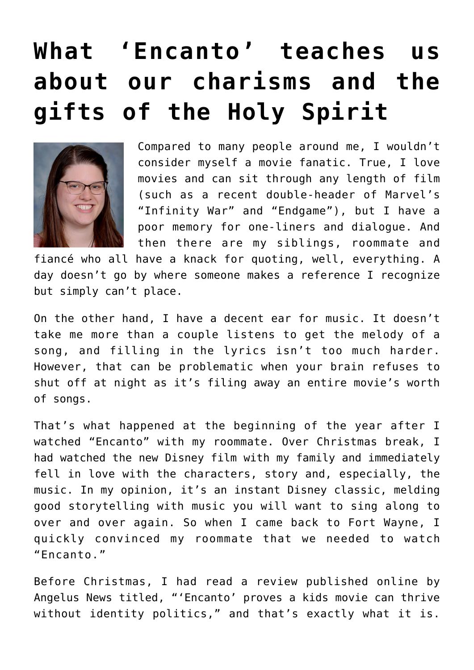## **[What 'Encanto' teaches us](https://www.osvnews.com/2022/01/17/what-encanto-teaches-us-about-our-charisms-and-the-gifts-of-the-holy-spirit/) [about our charisms and the](https://www.osvnews.com/2022/01/17/what-encanto-teaches-us-about-our-charisms-and-the-gifts-of-the-holy-spirit/) [gifts of the Holy Spirit](https://www.osvnews.com/2022/01/17/what-encanto-teaches-us-about-our-charisms-and-the-gifts-of-the-holy-spirit/)**



Compared to many people around me, I wouldn't consider myself a movie fanatic. True, I love movies and can sit through any length of film (such as a recent double-header of Marvel's "Infinity War" and "Endgame"), but I have a poor memory for one-liners and dialogue. And then there are my siblings, roommate and

fiancé who all have a knack for quoting, well, everything. A day doesn't go by where someone makes a reference I recognize but simply can't place.

On the other hand, I have a decent ear for music. It doesn't take me more than a couple listens to get the melody of a song, and filling in the lyrics isn't too much harder. However, that can be problematic when your brain refuses to shut off at night as it's filing away an entire movie's worth of songs.

That's what happened at the beginning of the year after I watched "Encanto" with my roommate. Over Christmas break, I had watched the new Disney film with my family and immediately fell in love with the characters, story and, especially, the music. In my opinion, it's an instant Disney classic, melding good storytelling with music you will want to sing along to over and over again. So when I came back to Fort Wayne, I quickly convinced my roommate that we needed to watch "Encanto."

Before Christmas, I had read a review published online by Angelus News titled, "'Encanto' proves a kids movie can thrive without identity politics," and that's exactly what it is.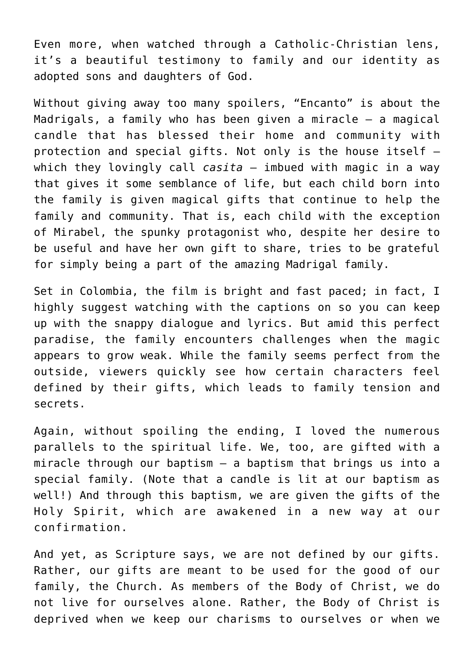Even more, when watched through a Catholic-Christian lens, it's a beautiful testimony to family and our identity as adopted sons and daughters of God.

Without giving away too many spoilers, "Encanto" is about the Madrigals, a family who has been given a miracle — a magical candle that has blessed their home and community with protection and special gifts. Not only is the house itself which they lovingly call *casita* — imbued with magic in a way that gives it some semblance of life, but each child born into the family is given magical gifts that continue to help the family and community. That is, each child with the exception of Mirabel, the spunky protagonist who, despite her desire to be useful and have her own gift to share, tries to be grateful for simply being a part of the amazing Madrigal family.

Set in Colombia, the film is bright and fast paced; in fact, I highly suggest watching with the captions on so you can keep up with the snappy dialogue and lyrics. But amid this perfect paradise, the family encounters challenges when the magic appears to grow weak. While the family seems perfect from the outside, viewers quickly see how certain characters feel defined by their gifts, which leads to family tension and secrets.

Again, without spoiling the ending, I loved the numerous parallels to the spiritual life. We, too, are gifted with a miracle through our baptism — a baptism that brings us into a special family. (Note that a candle is lit at our baptism as well!) And through this baptism, we are given the gifts of the Holy Spirit, which are awakened in a new way at our confirmation.

And yet, as Scripture says, we are not defined by our gifts. Rather, our gifts are meant to be used for the good of our family, the Church. As members of the Body of Christ, we do not live for ourselves alone. Rather, the Body of Christ is deprived when we keep our charisms to ourselves or when we